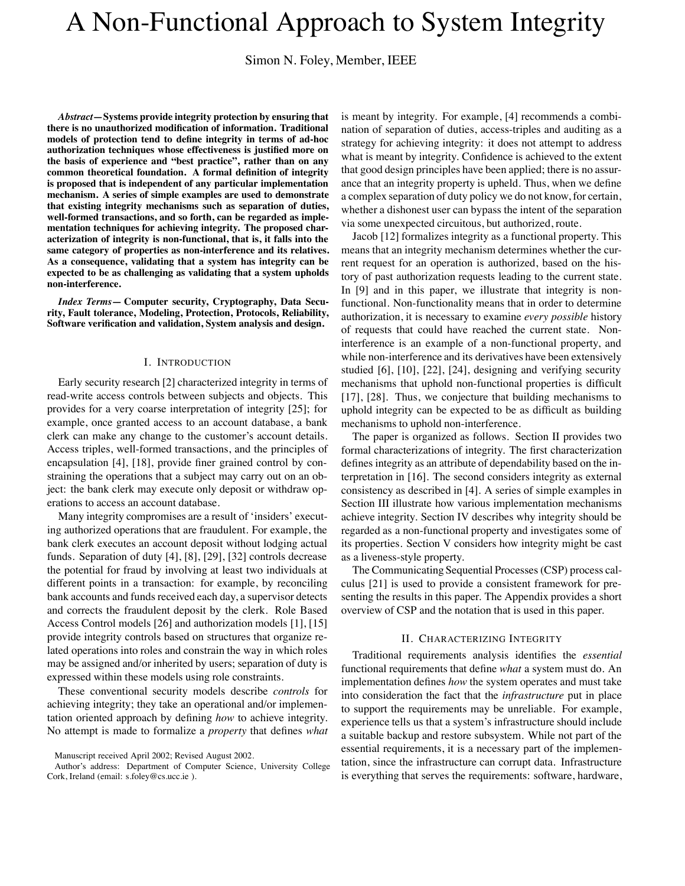# A Non-Functional Approach to System Integrity

Simon N. Foley, Member, IEEE

*Abstract***—Systems provide integrity protection by ensuring that there is no unauthorized modification of information. Traditional models of protection tend to define integrity in terms of ad-hoc authorization techniques whose effectiveness is justified more on the basis of experience and "best practice", rather than on any common theoretical foundation. A formal definition of integrity is proposed that is independent of any particular implementation mechanism. A series of simple examples are used to demonstrate that existing integrity mechanisms such as separation of duties, well-formed transactions, and so forth, can be regarded as implementation techniques for achieving integrity. The proposed characterization of integrity is non-functional, that is, it falls into the same category of properties as non-interference and its relatives. As a consequence, validating that a system has integrity can be expected to be as challenging as validating that a system upholds non-interference.**

*Index Terms***— Computer security, Cryptography, Data Security, Fault tolerance, Modeling, Protection, Protocols, Reliability, Software verification and validation, System analysis and design.**

#### I. INTRODUCTION

Early security research [2] characterized integrity in terms of read-write access controls between subjects and objects. This provides for a very coarse interpretation of integrity [25]; for example, once granted access to an account database, a bank clerk can make any change to the customer's account details. Access triples, well-formed transactions, and the principles of encapsulation [4], [18], provide finer grained control by constraining the operations that a subject may carry out on an object: the bank clerk may execute only deposit or withdraw operations to access an account database.

Many integrity compromises are a result of 'insiders' executing authorized operations that are fraudulent. For example, the bank clerk executes an account deposit without lodging actual funds. Separation of duty [4], [8], [29], [32] controls decrease the potential for fraud by involving at least two individuals at different points in a transaction: for example, by reconciling bank accounts and funds received each day, a supervisor detects and corrects the fraudulent deposit by the clerk. Role Based Access Control models [26] and authorization models [1], [15] provide integrity controls based on structures that organize related operations into roles and constrain the way in which roles may be assigned and/or inherited by users; separation of duty is expressed within these models using role constraints.

These conventional security models describe *controls* for achieving integrity; they take an operational and/or implementation oriented approach by defining *how* to achieve integrity. No attempt is made to formalize a *property* that defines *what* is meant by integrity. For example, [4] recommends a combination of separation of duties, access-triples and auditing as a strategy for achieving integrity: it does not attempt to address what is meant by integrity. Confidence is achieved to the extent that good design principles have been applied; there is no assurance that an integrity property is upheld. Thus, when we define a complex separation of duty policy we do not know, for certain, whether a dishonest user can bypass the intent of the separation via some unexpected circuitous, but authorized, route.

Jacob [12] formalizes integrity as a functional property. This means that an integrity mechanism determines whether the current request for an operation is authorized, based on the history of past authorization requests leading to the current state. In [9] and in this paper, we illustrate that integrity is nonfunctional. Non-functionality means that in order to determine authorization, it is necessary to examine *every possible* history of requests that could have reached the current state. Noninterference is an example of a non-functional property, and while non-interference and its derivatives have been extensively studied [6], [10], [22], [24], designing and verifying security mechanisms that uphold non-functional properties is difficult [17], [28]. Thus, we conjecture that building mechanisms to uphold integrity can be expected to be as difficult as building mechanisms to uphold non-interference.

The paper is organized as follows. Section II provides two formal characterizations of integrity. The first characterization defines integrity as an attribute of dependability based on the interpretation in [16]. The second considers integrity as external consistency as described in [4]. A series of simple examples in Section III illustrate how various implementation mechanisms achieve integrity. Section IV describes why integrity should be regarded as a non-functional property and investigates some of its properties. Section V considers how integrity might be cast as a liveness-style property.

The Communicating Sequential Processes (CSP) process calculus [21] is used to provide a consistent framework for presenting the results in this paper. The Appendix provides a short overview of CSP and the notation that is used in this paper.

## II. CHARACTERIZING INTEGRITY

Traditional requirements analysis identifies the *essential* functional requirements that define *what* a system must do. An implementation defines *how* the system operates and must take into consideration the fact that the *infrastructure* put in place to support the requirements may be unreliable. For example, experience tells us that a system's infrastructure should include a suitable backup and restore subsystem. While not part of the essential requirements, it is a necessary part of the implementation, since the infrastructure can corrupt data. Infrastructure is everything that serves the requirements: software, hardware,

Manuscript received April 2002; Revised August 2002.

Author's address: Department of Computer Science, University College Cork, Ireland (email: s.foley@cs.ucc.ie ).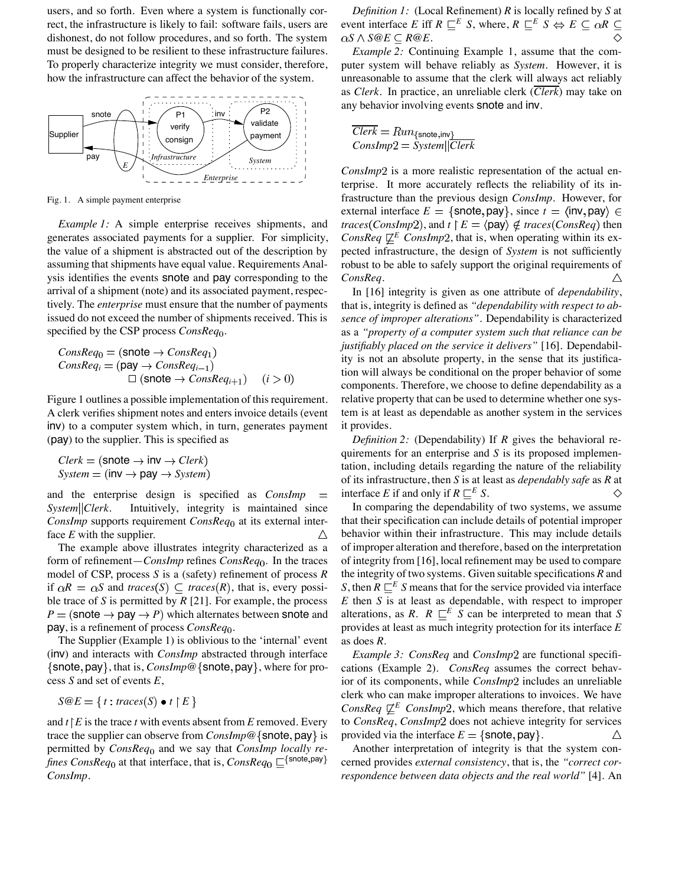users, and so forth. Even where a system is functionally correct, the infrastructure is likely to fail: software fails, users are dishonest, do not follow procedures, and so forth. The system must be designed to be resilient to these infrastructure failures. To properly characterize integrity we must consider, therefore, how the infrastructure can affect the behavior of the system.



Fig. 1. A simple payment enterprise

*Example 1:* A simple enterprise receives shipments, and generates associated payments for a supplier. For simplicity, the value of a shipment is abstracted out of the description by assuming that shipments have equal value. Requirements Analysis identifies the events snote and pay corresponding to the arrival of a shipment (note) and its associated payment, respectively. The *enterprise* must ensure that the number of payments issued do not exceed the number of shipments received. This is specified by the CSP process *ConsReq*<sub>0</sub>.

$$
ConsReq0 = (since → ConsReq1)
$$
  
\n
$$
ConsReqi = (pay → ConsReqi-1)
$$
  
\n□ (since → ConsReq<sub>i+1</sub>) (i > 0)

Figure 1 outlines a possible implementation of this requirement. A clerk verifies shipment notes and enters invoice details (event inv) to a computer system which, in turn, generates payment (pay) to the supplier. This is specified as

$$
Clerk = (\text{snote} \rightarrow \text{inv} \rightarrow Clerk)
$$
  
System = (inv \rightarrow pay \rightarrow System)

and the enterprise design is specified as *ConsImp*  $\equiv$ *System Clerk*. Intuitively, integrity is maintained since *ConsImp* supports requirement *ConsReq*<sub>0</sub> at its external interface *E* with the supplier. Δ

The example above illustrates integrity characterized as a form of refinement—*ConsImp* refines *ConsReq*<sub>0</sub>. In the traces model of CSP, process *S* is a (safety) refinement of process *R* if  $\alpha R = \alpha S$  and *traces*(S)  $\subseteq$  *traces*(R), that is, every possible trace of *S* is permitted by *R* [21]. For example, the process  $P =$  (snote  $\rightarrow$  pay  $\rightarrow$  *P*) which alternates between snote and pay, is a refinement of process *ConsReq*<sub>0</sub>.

The Supplier (Example 1) is oblivious to the 'internal' event (inv) and interacts with *ConsImp* abstracted through interface {snote, pay}, that is, *ConsImp*<sup>@</sup> {snote, pay}, where for process *S* and set of events *E*,

$$
S@E = \{ t : traces(S) \bullet t \upharpoonright E \}
$$

and  $t \upharpoonright E$  is the trace  $t$  with events absent from  $E$  removed. Every trace the supplier can observe from  $\textit{ConsImp@}\{\textsf{snote}, \textsf{pay}\}\$  is permitted by *ConsReq*<sub>0</sub> and we say that *ConsImp locally refines ConsReq*<sub>0</sub> at that interface, that is,  $\textit{ConsReg}_0 \sqsubseteq^{\{\texttt{snote},\texttt{pay}\}}$ *ConsImp*.

*Definition 1:* (Local Refinement) *R* is locally refined by *S* at event interface *E* iff  $R \sqsubseteq^E S$ , where,  $R \sqsubseteq^E S \Leftrightarrow E \sqsubseteq \alpha R \sqsubseteq$  $\alpha S \wedge S \circledcirc E \subseteq R \circledcirc E$ . ◇

*Example 2:* Continuing Example 1, assume that the computer system will behave reliably as *System*. However, it is unreasonable to assume that the clerk will always act reliably as *Clerk*. In practice, an unreliable clerk (*Clerk*) may take on any behavior involving events snote and inv.

$$
\overline{Clerk} = Run_{\{\text{snote}, \text{inv}\}}
$$
  

$$
Conslmp2 = System||\overline{Clerk}
$$

*ConsImp*2 is a more realistic representation of the actual enterprise. It more accurately reflects the reliability of its infrastructure than the previous design *ConsImp*. However, for external interface  $E = \{\text{snote}, \text{pay}\}\$ , since  $t = \langle \text{inv}, \text{pay} \rangle \in$ *traces* (*ConsImp2*), and  $t \upharpoonright E = \langle \text{pay} \rangle \notin \text{traces}(\text{ConsReg})$  then *ConsReq*  $\underline{\psi}^E$  *ConsImp*2, that is, when operating within its expected infrastructure, the design of *System* is not sufficiently robust to be able to safely support the original requirements of  $\triangle$ *ConsReq*.

In [16] integrity is given as one attribute of *dependability*, that is, integrity is defined as *"dependability with respect to absence of improper alterations"*. Dependability is characterized as a *"property of a computer system such that reliance can be justifiably placed on the service it delivers"* [16]. Dependability is not an absolute property, in the sense that its justification will always be conditional on the proper behavior of some components. Therefore, we choose to define dependability as a relative property that can be used to determine whether one system is at least as dependable as another system in the services it provides.

*Definition 2:* (Dependability) If *R* gives the behavioral requirements for an enterprise and *S* is its proposed implementation, including details regarding the nature of the reliability of its infrastructure, then *S* is at least as *dependably safe* as *R* at interface *E* if and only if  $R \sqsubseteq^E S$ . ♦

In comparing the dependability of two systems, we assume that their specification can include details of potential improper behavior within their infrastructure. This may include details of improper alteration and therefore, based on the interpretation of integrity from [16], local refinement may be used to compare the integrity of two systems. Given suitable specifications *R* and *S*, then  $R \nightharpoonup^{E} S$  means that for the service provided via interface *E* then *S* is at least as dependable, with respect to improper alterations, as *R*.  $R \sqsubseteq^E S$  can be interpreted to mean that *S* provides at least as much integrity protection for its interface *E* as does *R*.

*Example 3: ConsReq* and *ConsImp*2 are functional specifications (Example 2). *ConsReq* assumes the correct behavior of its components, while *ConsImp*2 includes an unreliable clerk who can make improper alterations to invoices. We have *ConsReq*  $\not\sqsubset^E$  *ConsImp*2, which means therefore, that relative to *ConsReq*, *ConsImp*2 does not achieve integrity for services provided via the interface  $E = \{\text{snote}, \text{pay}\}.$ Δ

Another interpretation of integrity is that the system concerned provides *external consistency*, that is, the *"correct correspondence between data objects and the real world"* [4]. An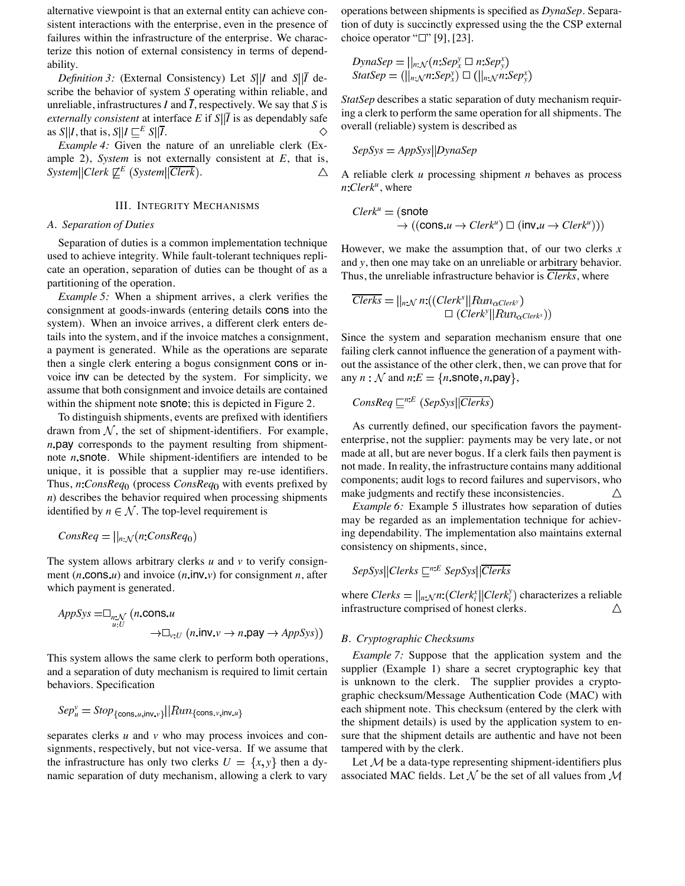alternative viewpoint is that an external entity can achieve consistent interactions with the enterprise, even in the presence of failures within the infrastructure of the enterprise. We characterize this notion of external consistency in terms of dependability.

*Definition 3:* (External Consistency) Let  $S||I$  and  $S||\overline{I}$  describe the behavior of system *S* operating within reliable, and unreliable, infrastructures  $I$  and  $\overline{I}$ , respectively. We say that  $S$  is *externally consistent* at interface *E* if  $S\|\overline{I}$  is as dependably safe as  $S\|I$ , that is,  $S\|I \subseteq E S\|\overline{I}$ . ♦

*Example 4:* Given the nature of an unreliable clerk (Example 2), *System* is not externally consistent at *E*, that is, *System*  $|Clerk \not\sqsubseteq^E$  (*System*  $|\overline{Clerk}|$ ). Δ

## III. INTEGRITY MECHANISMS

## *A. Separation of Duties*

Separation of duties is a common implementation technique used to achieve integrity. While fault-tolerant techniques replicate an operation, separation of duties can be thought of as a partitioning of the operation.

*Example 5:* When a shipment arrives, a clerk verifies the consignment at goods-inwards (entering details cons into the system). When an invoice arrives, a different clerk enters details into the system, and if the invoice matches a consignment, a payment is generated. While as the operations are separate then a single clerk entering a bogus consignment cons or invoice inv can be detected by the system. For simplicity, we assume that both consignment and invoice details are contained within the shipment note **snote**; this is depicted in Figure 2.

To distinguish shipments, events are prefixed with identifiers drawn from  $N$ , the set of shipment-identifiers. For example, *n* pay corresponds to the payment resulting from shipmentnote *n* snote. While shipment-identifiers are intended to be unique, it is possible that a supplier may re-use identifiers. Thus, *n*:*ConsReq*<sub>0</sub> (process *ConsReq*<sub>0</sub> with events prefixed by *n*) describes the behavior required when processing shipments identified by  $n \in \mathcal{N}$ . The top-level requirement is

$$
ConsReq = ||_{n:\mathcal{N}}(n:ConsReq_0)
$$

The system allows arbitrary clerks *u* and *v* to verify consignment  $(n \cdot \text{cons. } u)$  and invoice  $(n \cdot \text{inv. } v)$  for consignment *n*, after which payment is generated.

$$
AppSys = \Box_{n: V} (n.\text{cons.u}\rightarrow \Box_{v: U} (n.\text{inv.v} \rightarrow n.\text{pay} \rightarrow AppSys))
$$

This system allows the same clerk to perform both operations, and a separation of duty mechanism is required to limit certain behaviors. Specification

$$
Sep_u^v = Stop_{\{\text{cons}_u,\text{inv}_v\}}||Run_{\{\text{cons}_v,\text{inv}_u\}}
$$

separates clerks *u* and *v* who may process invoices and consignments, respectively, but not vice-versa. If we assume that the infrastructure has only two clerks  $U = \{x, y\}$  then a dynamic separation of duty mechanism, allowing a clerk to vary

operations between shipments is specified as *DynaSep*. Separation of duty is succinctly expressed using the the CSP external choice operator " $\Box$ " [9], [23].

$$
DynaSep = ||_{n: \mathcal{N}}(n:Sep_x^y \square n:Sep_y^x)
$$
  

$$
StatSep = (||_{n: \mathcal{N}}n:Sep_x^x) \square (||_{n: \mathcal{N}}n:Sep_y^x)
$$

*StatSep* describes a static separation of duty mechanism requiring a clerk to perform the same operation for all shipments. The overall (reliable) system is described as

$$
SepSys = AppSys || DynamicSpec
$$

A reliable clerk *u* processing shipment *n* behaves as process  $n$ *:Clerk<sup>u</sup>*, where

$$
Clerk^{u} = (\text{snote} \rightarrow ((\text{cons}.u \rightarrow Clerk^{u}) \Box (\text{inv}.u \rightarrow Clerk^{u})))
$$

However, we make the assumption that, of our two clerks *x* and *y*, then one may take on an unreliable or arbitrary behavior. Thus, the unreliable infrastructure behavior is *Clerks*, where

$$
\overline{Clerks} = ||_{n:\mathcal{N}} n: ((Clerk^*||Run_{\alpha \text{Clerk}^{\mathcal{N}}})
$$
  

$$
\Box (Clerk^*||Run_{\alpha \text{Clerk}^{\mathcal{N}}})
$$

Since the system and separation mechanism ensure that one failing clerk cannot influence the generation of a payment without the assistance of the other clerk, then, we can prove that for any  $n : \mathcal{N}$  and  $n : E = \{n \text{.}\}$  snote,  $n \text{.}$  pay  $\},\$ 

$$
ConsReg \sqsubseteq^{n:E} (SepSys || \overline{Clerks})
$$

As currently defined, our specification favors the paymententerprise, not the supplier: payments may be very late, or not made at all, but are never bogus. If a clerk fails then payment is not made. In reality, the infrastructure contains many additional components; audit logs to record failures and supervisors, who make judgments and rectify these inconsistencies. Δ

*Example 6:* Example 5 illustrates how separation of duties may be regarded as an implementation technique for achieving dependability. The implementation also maintains external consistency on shipments, since,

$$
SepSys||Clerks \sqsubseteq^{n:E} SepSys||\overline{Clerks}
$$

where  $Clerks = ||_{n:\mathcal{N}}n:(Clerk_i^x||Clerk_i^y)$  characterizes a reliable infrastructure comprised of honest clerks.

## *B. Cryptographic Checksums*

*Example 7:* Suppose that the application system and the supplier (Example 1) share a secret cryptographic key that is unknown to the clerk. The supplier provides a cryptographic checksum/Message Authentication Code (MAC) with each shipment note. This checksum (entered by the clerk with the shipment details) is used by the application system to ensure that the shipment details are authentic and have not been tampered with by the clerk.

Let  $M$  be a data-type representing shipment-identifiers plus associated MAC fields. Let  $N$  be the set of all values from  $M$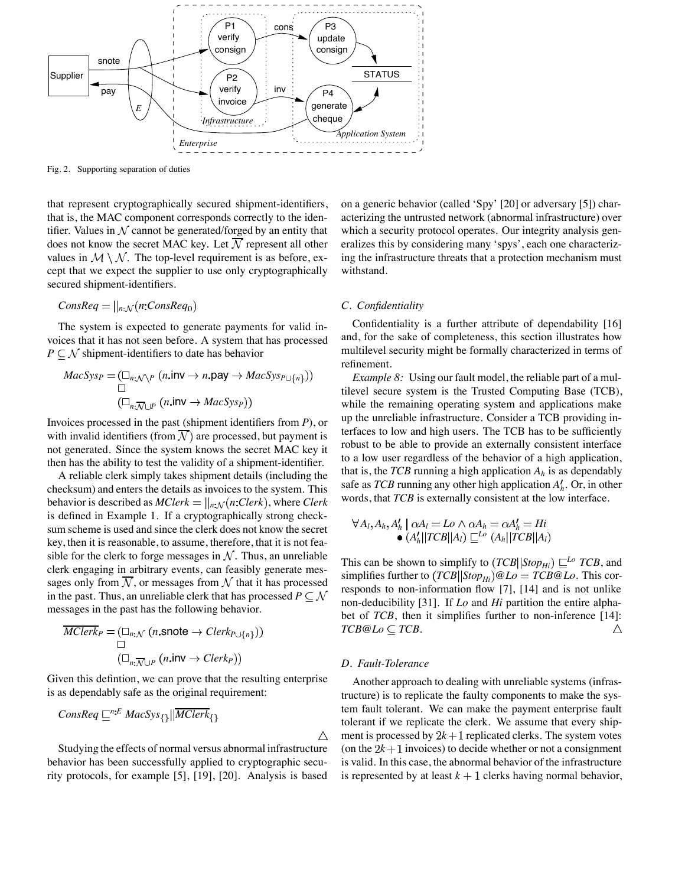

Fig. 2. Supporting separation of duties

that represent cryptographically secured shipment-identifiers, that is, the MAC component corresponds correctly to the identifier. Values in  $\mathcal N$  cannot be generated/forged by an entity that does not know the secret MAC key. Let  $\mathcal N$  represent all other values in  $M \setminus N$ . The top-level requirement is as before, except that we expect the supplier to use only cryptographically secured shipment-identifiers.

$$
ConsReq = ||_{n:\mathcal{N}}(n:ConsReq_0)
$$

The system is expected to generate payments for valid invoices that it has not seen before. A system that has processed  $P \subseteq \mathcal{N}$  shipment-identifiers to date has behavior

$$
MacSys_P = (\Box_{n:\mathcal{N}\backslash P} (n.\mathsf{inv} \to n.\mathsf{pay} \to MacSys_{P \cup \{n\}}))
$$
  

$$
\Box
$$
  

$$
(\Box_{n:\mathcal{N}\cup P} (n.\mathsf{inv} \to MacSys_P))
$$

Invoices processed in the past (shipment identifiers from *P*), or with invalid identifiers (from  $\overline{\mathcal{N}}$ ) are processed, but payment is not generated. Since the system knows the secret MAC key it then has the ability to test the validity of a shipment-identifier.

A reliable clerk simply takes shipment details (including the checksum) and enters the details as invoices to the system. This behavior is described as  $MClerk = ||_{n:\mathcal{N}}(n:Clerk)$ , where *Clerk* is defined in Example 1. If a cryptographically strong checksum scheme is used and since the clerk does not know the secret key, then it is reasonable, to assume, therefore, that it is not feasible for the clerk to forge messages in  $N$ . Thus, an unreliable clerk engaging in arbitrary events, can feasibly generate messages only from  $\overline{N}$ , or messages from  $\overline{N}$  that it has processed in the past. Thus, an unreliable clerk that has processed  $P \subseteq \mathcal{N}$ messages in the past has the following behavior.

$$
\overline{MClerk}_P = (\Box_{n:\mathcal{N}} (n.\text{snote} \to \text{Clerk}_{P\cup\{n\}}))
$$

$$
\Box
$$

$$
(\Box_{n:\overline{\mathcal{N}}\cup P} (n.\text{inv} \to \text{Clerk}_P))
$$

Given this defintion, we can prove that the resulting enterprise is as dependably safe as the original requirement:

$$
ConsReg \sqsubseteq^{n:E} MacSys_{\{\}} || \overline{MClerk}_{\{\}}
$$

Studying the effects of normal versus abnormal infrastructure behavior has been successfully applied to cryptographic security protocols, for example [5], [19], [20]. Analysis is based on a generic behavior (called 'Spy' [20] or adversary [5]) characterizing the untrusted network (abnormal infrastructure) over which a security protocol operates. Our integrity analysis generalizes this by considering many 'spys', each one characterizing the infrastructure threats that a protection mechanism must withstand.

## *C. Confidentiality*

Confidentiality is a further attribute of dependability [16] and, for the sake of completeness, this section illustrates how multilevel security might be formally characterized in terms of refinement.

*Example 8:* Using our fault model, the reliable part of a multilevel secure system is the Trusted Computing Base (TCB), while the remaining operating system and applications make up the unreliable infrastructure. Consider a TCB providing interfaces to low and high users. The TCB has to be sufficiently robust to be able to provide an externally consistent interface to a low user regardless of the behavior of a high application, that is, the *TCB* running a high application  $A_h$  is as dependably safe as *TCB* running any other high application  $A'_h$ . Or, in other words, that *TCB* is externally consistent at the low interface.

$$
\forall A_l, A_h, A'_h \mid \alpha A_l = L \circ \wedge \alpha A_h = \alpha A'_h = Hi
$$
  
\n• 
$$
(A'_h || TCB || A_l) \sqsubseteq^{L \circ} (A_h || TCB || A_l)
$$

This can be shown to simplify to  $(TCB||Stop_{Hi}) \sqsubseteq^{Lo} TCB$ , and simplifies further to  $(TCB||Stop_{Hi})@Lo = TCB@Lo$ . This corresponds to non-information flow [7], [14] and is not unlike non-deducibility [31]. If *Lo* and *Hi* partition the entire alphabet of *TCB*, then it simplifies further to non-inference [14]:  $TCB@Lo \subset TCB$ . Δ

## *D. Fault-Tolerance*

 $\triangle$ 

Another approach to dealing with unreliable systems (infrastructure) is to replicate the faulty components to make the system fault tolerant. We can make the payment enterprise fault tolerant if we replicate the clerk. We assume that every shipment is processed by  $2k+1$  replicated clerks. The system votes (on the  $2k+1$  invoices) to decide whether or not a consignment is valid. In this case, the abnormal behavior of the infrastructure is represented by at least  $k + 1$  clerks having normal behavior,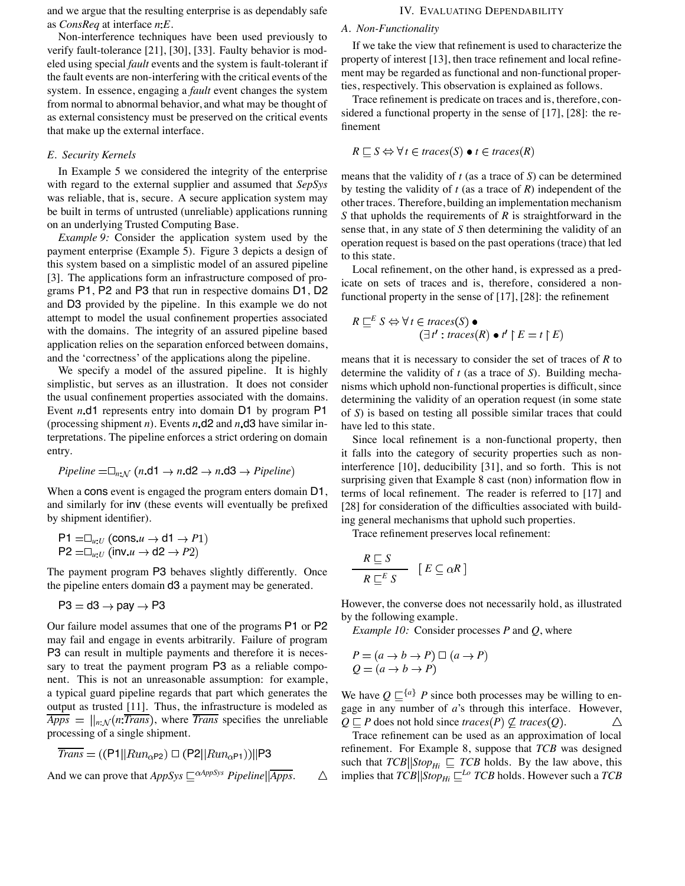and we argue that the resulting enterprise is as dependably safe as *ConsReq* at interface *n E*.

Non-interference techniques have been used previously to verify fault-tolerance [21], [30], [33]. Faulty behavior is modeled using special *fault* events and the system is fault-tolerant if the fault events are non-interfering with the critical events of the system. In essence, engaging a *fault* event changes the system from normal to abnormal behavior, and what may be thought of as external consistency must be preserved on the critical events that make up the external interface.

# *E. Security Kernels*

In Example 5 we considered the integrity of the enterprise with regard to the external supplier and assumed that *SepSys* was reliable, that is, secure. A secure application system may be built in terms of untrusted (unreliable) applications running on an underlying Trusted Computing Base.

*Example 9:* Consider the application system used by the payment enterprise (Example 5). Figure 3 depicts a design of this system based on a simplistic model of an assured pipeline [3]. The applications form an infrastructure composed of programs P1, P2 and P3 that run in respective domains D1, D2 and D3 provided by the pipeline. In this example we do not attempt to model the usual confinement properties associated with the domains. The integrity of an assured pipeline based application relies on the separation enforced between domains, and the 'correctness' of the applications along the pipeline.

We specify a model of the assured pipeline. It is highly simplistic, but serves as an illustration. It does not consider the usual confinement properties associated with the domains. Event *n* d1 represents entry into domain D1 by program P1 (processing shipment *n*). Events *n* d2 and *n* d3 have similar interpretations. The pipeline enforces a strict ordering on domain entry.

*Pipeline* =
$$
\Box_{n:\mathcal{N}}
$$
 (*n*.d1  $\rightarrow$  *n*.d2  $\rightarrow$  *n*.d3  $\rightarrow$  *Pipeline*)

When a cons event is engaged the program enters domain D1, and similarly for inv (these events will eventually be prefixed by shipment identifier).

$$
\mathsf{P1} = \square_{u:U} (\mathsf{cons}.u \to \mathsf{d1} \to P1)
$$
  

$$
\mathsf{P2} = \square_{u:U} (\mathsf{inv}.u \to \mathsf{d2} \to P2)
$$

The payment program P3 behaves slightly differently. Once the pipeline enters domain d3 a payment may be generated.

$$
\mathsf{P3}=\mathsf{d3}\to\mathsf{pay}\to\mathsf{P3}
$$

Our failure model assumes that one of the programs P1 or P2 may fail and engage in events arbitrarily. Failure of program P3 can result in multiple payments and therefore it is necessary to treat the payment program P3 as a reliable component. This is not an unreasonable assumption: for example, a typical guard pipeline regards that part which generates the output as trusted [11]. Thus, the infrastructure is modeled as  $\overline{Apps}$  =  $\vert\vert_{n,N}$  *n*:*Trans* $)$ , where *Trans* specifies the unreliable processing of a single shipment.

$$
\overline{Trans} = ((P1||Run_{\alpha P2}) \square (P2||Run_{\alpha P1}))||P3
$$

And we can prove that  $AppSys \subseteq \alpha AppSys$  *Pipeline*  $\sqrt{Apps}$ . Δ

## IV. EVALUATING DEPENDABILITY

## *A. Non-Functionality*

If we take the view that refinement is used to characterize the property of interest [13], then trace refinement and local refinement may be regarded as functional and non-functional properties, respectively. This observation is explained as follows.

Trace refinement is predicate on traces and is, therefore, considered a functional property in the sense of [17], [28]: the refinement

$$
R \sqsubseteq S \Leftrightarrow \forall t \in \mathit{traces}(S) \bullet t \in \mathit{traces}(R)
$$

means that the validity of *t* (as a trace of *S*) can be determined by testing the validity of *t* (as a trace of *R*) independent of the other traces. Therefore, building an implementation mechanism *S* that upholds the requirements of *R* is straightforward in the sense that, in any state of *S* then determining the validity of an operation request is based on the past operations (trace) that led to this state.

Local refinement, on the other hand, is expressed as a predicate on sets of traces and is, therefore, considered a nonfunctional property in the sense of [17], [28]: the refinement

$$
R \sqsubseteq^{E} S \Leftrightarrow \forall t \in traces(S) \bullet
$$
  

$$
(\exists t': traces(R) \bullet t' \upharpoonright E = t \upharpoonright E)
$$

means that it is necessary to consider the set of traces of *R* to determine the validity of *t* (as a trace of *S*). Building mechanisms which uphold non-functional properties is difficult, since determining the validity of an operation request (in some state of *S*) is based on testing all possible similar traces that could have led to this state.

Since local refinement is a non-functional property, then it falls into the category of security properties such as noninterference [10], deducibility [31], and so forth. This is not surprising given that Example 8 cast (non) information flow in terms of local refinement. The reader is referred to [17] and [28] for consideration of the difficulties associated with building general mechanisms that uphold such properties.

Trace refinement preserves local refinement:

$$
\frac{R \sqsubseteq S}{R \sqsubseteq^E S} \quad [E \subseteq \alpha R]
$$

However, the converse does not necessarily hold, as illustrated by the following example.

*Example 10:* Consider processes *P* and *Q*, where

$$
P = (a \to b \to P) \sqcup (a \to P
$$
  
 
$$
Q = (a \to b \to P)
$$

We have  $Q \sqsubseteq^{\{a\}} P$  since both processes may be willing to engage in any number of *a*'s through this interface. However,  $Q \sqsubseteq P$  does not hold since *traces*( $P$ )  $\varsubseteq$  *traces*( $Q$ ). Δ

Trace refinement can be used as an approximation of local refinement. For Example 8, suppose that *TCB* was designed such that  $TCB||Stop_{Hi} \subseteq TCB$  holds. By the law above, this implies that  $TCB||Stop_{Hi} \sqsubseteq^{Lo} TCB$  holds. However such a  $TCB$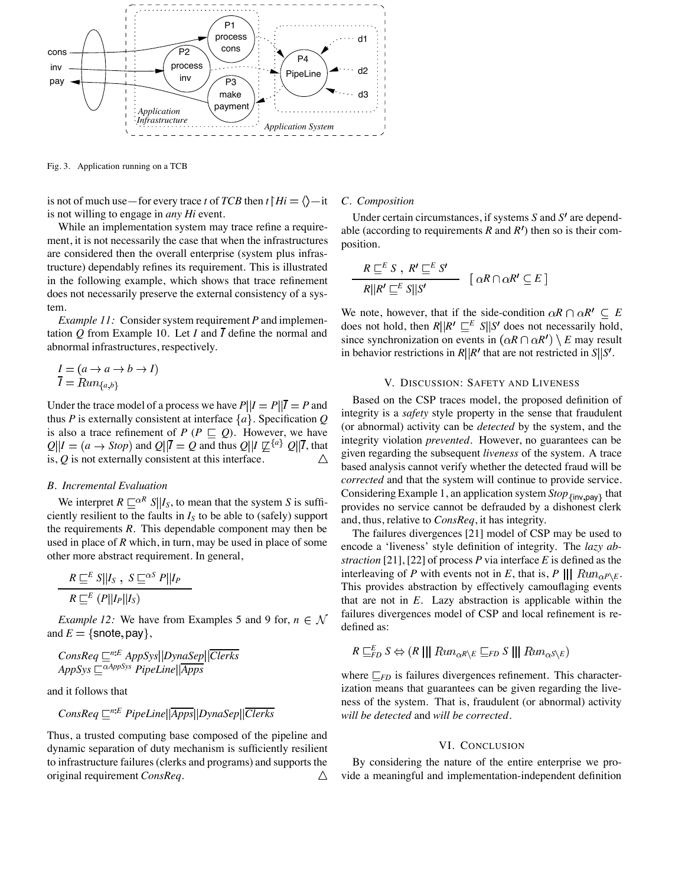

Fig. 3. Application running on a TCB

is not of much use—for every trace *t* of *TCB* then  $t \upharpoonright Hi = \langle \rangle - it$ is not willing to engage in *any Hi* event.

While an implementation system may trace refine a requirement, it is not necessarily the case that when the infrastructures are considered then the overall enterprise (system plus infrastructure) dependably refines its requirement. This is illustrated in the following example, which shows that trace refinement does not necessarily preserve the external consistency of a system.

*Example 11:* Consider system requirement *P* and implementation *Q* from Example 10. Let *I* and  $\overline{I}$  define the normal and abnormal infrastructures, respectively.

$$
I = (a \to a \to b \to I)
$$
  

$$
\overline{I} = Run_{\{a,b\}}
$$

Under the trace model of a process we have  $P||I = P||\overline{I} = P$  and thus *P* is externally consistent at interface  $\{a\}$ . Specification *Q* is also a trace refinement of  $P(P \sqsubseteq Q)$ . However, we have  $Q\|I = (a \rightarrow Stop)$  and  $Q\|\overline{I} = Q$  and thus  $Q\|I \not\subseteq \{a\}$   $Q\|\overline{I}$ , that is, *Q* is not externally consistent at this interface.

## *B. Incremental Evaluation*

We interpret  $R \sqsubseteq^{\alpha R} S | I_S$ , to mean that the system *S* is sufficiently resilient to the faults in  $I<sub>S</sub>$  to be able to (safely) support the requirements *R*. This dependable component may then be used in place of *R* which, in turn, may be used in place of some other more abstract requirement. In general,

$$
\frac{R \sqsubseteq^E S||I_S, S \sqsubseteq^{\alpha S} P||I_P}{R \sqsubseteq^E (P||I_P||I_S)}
$$

*Example 12:* We have from Examples 5 and 9 for,  $n \in \mathcal{N}$ and  $E = \{\text{snote}, \text{pay}\},\$ 

*ConsReq <sup>n</sup> <sup>E</sup> AppSys DynaSep Clerks AppSys AppSys PipeLine Apps*

and it follows that

$$
ConsReg \sqsubseteq^{n:E} PipeLine \mid \mid \neg{Apps} \mid \neg{Dynasep} \mid \mid \neg{Clerks}
$$

Thus, a trusted computing base composed of the pipeline and dynamic separation of duty mechanism is sufficiently resilient to infrastructure failures (clerks and programs) and supports the original requirement *ConsReq*. Δ

# *C. Composition*

Under certain circumstances, if systems *S* and *S'* are dependable (according to requirements  $R$  and  $R'$ ) then so is their composition.

$$
\frac{R \sqsubseteq^E S \,,\ R' \sqsubseteq^E S'}{R || R' \sqsubseteq^E S || S'} \quad [\ \alpha R \cap \alpha R' \subseteq E \ ]
$$

We note, however, that if the side-condition  $\alpha R \cap \alpha R' \subseteq E$ does not hold, then  $R||R' \sqsubseteq^E S||S'$  does not necessarily hold, since synchronization on events in  $(\alpha R \cap \alpha R') \setminus E$  may result in behavior restrictions in  $R||R'$  that are not restricted in  $S||S'$ .

## V. DISCUSSION: SAFETY AND LIVENESS

Based on the CSP traces model, the proposed definition of integrity is a *safety* style property in the sense that fraudulent (or abnormal) activity can be *detected* by the system, and the integrity violation *prevented*. However, no guarantees can be given regarding the subsequent *liveness* of the system. A trace based analysis cannot verify whether the detected fraud will be *corrected* and that the system will continue to provide service. Considering Example 1, an application system *Stop* <sub>{inv,pay}</sub> that provides no service cannot be defrauded by a dishonest clerk and, thus, relative to *ConsReq*, it has integrity.

The failures divergences [21] model of CSP may be used to encode a 'liveness' style definition of integrity. The *lazy abstraction* [21], [22] of process *P* via interface *E* is defined as the interleaving of *P* with events not in *E*, that is, *P*  $\| \| Run_{\alpha P \setminus E}$ . This provides abstraction by effectively camouflaging events that are not in *E*. Lazy abstraction is applicable within the failures divergences model of CSP and local refinement is redefined as:

$$
R \sqsubseteq_{FD}^{E} S \Leftrightarrow (R \mid || \mathit{Run}_{\alpha R \setminus E} \sqsubseteq_{FD} S \mid || \mathit{Run}_{\alpha S \setminus E})
$$

where  $\mathcal{F}_{FD}$  is failures divergences refinement. This characterization means that guarantees can be given regarding the liveness of the system. That is, fraudulent (or abnormal) activity *will be detected* and *will be corrected*.

# VI. CONCLUSION

By considering the nature of the entire enterprise we provide a meaningful and implementation-independent definition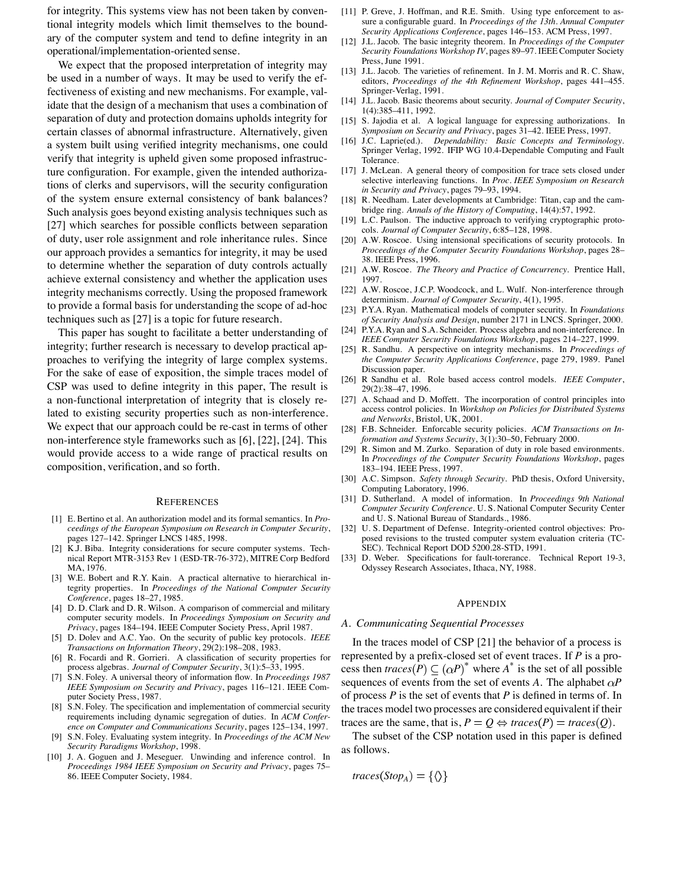for integrity. This systems view has not been taken by conventional integrity models which limit themselves to the boundary of the computer system and tend to define integrity in an operational/implementation-oriented sense.

We expect that the proposed interpretation of integrity may be used in a number of ways. It may be used to verify the effectiveness of existing and new mechanisms. For example, validate that the design of a mechanism that uses a combination of separation of duty and protection domains upholds integrity for certain classes of abnormal infrastructure. Alternatively, given a system built using verified integrity mechanisms, one could verify that integrity is upheld given some proposed infrastructure configuration. For example, given the intended authorizations of clerks and supervisors, will the security configuration of the system ensure external consistency of bank balances? Such analysis goes beyond existing analysis techniques such as [27] which searches for possible conflicts between separation of duty, user role assignment and role inheritance rules. Since our approach provides a semantics for integrity, it may be used to determine whether the separation of duty controls actually achieve external consistency and whether the application uses integrity mechanisms correctly. Using the proposed framework to provide a formal basis for understanding the scope of ad-hoc techniques such as [27] is a topic for future research.

This paper has sought to facilitate a better understanding of integrity; further research is necessary to develop practical approaches to verifying the integrity of large complex systems. For the sake of ease of exposition, the simple traces model of CSP was used to define integrity in this paper, The result is a non-functional interpretation of integrity that is closely related to existing security properties such as non-interference. We expect that our approach could be re-cast in terms of other non-interference style frameworks such as [6], [22], [24]. This would provide access to a wide range of practical results on composition, verification, and so forth.

#### **REFERENCES**

- [1] E. Bertino et al. An authorization model and its formal semantics. In *Proceedings of the European Symposium on Research in Computer Security*, pages 127–142. Springer LNCS 1485, 1998.
- [2] K.J. Biba. Integrity considerations for secure computer systems. Technical Report MTR-3153 Rev 1 (ESD-TR-76-372), MITRE Corp Bedford MA, 1976.
- [3] W.E. Bobert and R.Y. Kain. A practical alternative to hierarchical integrity properties. In *Proceedings of the National Computer Security Conference*, pages 18–27, 1985.
- [4] D. D. Clark and D. R. Wilson. A comparison of commercial and military computer security models. In *Proceedings Symposium on Security and Privacy*, pages 184–194. IEEE Computer Society Press, April 1987.
- [5] D. Dolev and A.C. Yao. On the security of public key protocols. *IEEE Transactions on Information Theory*, 29(2):198–208, 1983.
- [6] R. Focardi and R. Gorrieri. A classification of security properties for process algebras. *Journal of Computer Security*, 3(1):5–33, 1995.
- [7] S.N. Foley. A universal theory of information flow. In *Proceedings 1987 IEEE Symposium on Security and Privacy*, pages 116–121. IEEE Computer Society Press, 1987.
- [8] S.N. Foley. The specification and implementation of commercial security requirements including dynamic segregation of duties. In *ACM Conference on Computer and Communications Security*, pages 125–134, 1997.
- [9] S.N. Foley. Evaluating system integrity. In *Proceedings of the ACM New Security Paradigms Workshop*, 1998.
- [10] J. A. Goguen and J. Meseguer. Unwinding and inference control. In *Proceedings 1984 IEEE Symposium on Security and Privacy*, pages 75– 86. IEEE Computer Society, 1984.
- [11] P. Greve, J. Hoffman, and R.E. Smith. Using type enforcement to assure a configurable guard. In *Proceedings of the 13th. Annual Computer Security Applications Conference*, pages 146–153. ACM Press, 1997.
- [12] J.L. Jacob. The basic integrity theorem. In *Proceedings of the Computer Security Foundations Workshop IV*, pages 89–97. IEEE Computer Society Press, June 1991.
- [13] J.L. Jacob. The varieties of refinement. In J. M. Morris and R. C. Shaw, editors, *Proceedings of the 4th Refinement Workshop*, pages 441–455. Springer-Verlag, 1991.
- [14] J.L. Jacob. Basic theorems about security. *Journal of Computer Security*, 1(4):385–411, 1992.
- [15] S. Jajodia et al. A logical language for expressing authorizations. In *Symposium on Security and Privacy*, pages 31–42. IEEE Press, 1997.
- [16] J.C. Laprie(ed.). *Dependability: Basic Concepts and Terminology*. Springer Verlag, 1992. IFIP WG 10.4-Dependable Computing and Fault Tolerance.
- [17] J. McLean. A general theory of composition for trace sets closed under selective interleaving functions. In *Proc. IEEE Symposium on Research in Security and Privacy*, pages 79–93, 1994.
- [18] R. Needham. Later developments at Cambridge: Titan, cap and the cambridge ring. *Annals of the History of Computing*, 14(4):57, 1992.
- [19] L.C. Paulson. The inductive approach to verifying cryptographic protocols. *Journal of Computer Security*, 6:85–128, 1998.
- [20] A.W. Roscoe. Using intensional specifications of security protocols. In *Proceedings of the Computer Security Foundations Workshop*, pages 28– 38. IEEE Press, 1996.
- [21] A.W. Roscoe. *The Theory and Practice of Concurrency*. Prentice Hall, 1997.
- [22] A.W. Roscoe, J.C.P. Woodcock, and L. Wulf. Non-interference through determinism. *Journal of Computer Security*, 4(1), 1995.
- [23] P.Y.A. Ryan. Mathematical models of computer security. In *Foundations of Security Analysis and Design*, number 2171 in LNCS. Springer, 2000.
- [24] P.Y.A. Ryan and S.A. Schneider. Process algebra and non-interference. In *IEEE Computer Security Foundations Workshop*, pages 214–227, 1999.
- [25] R. Sandhu. A perspective on integrity mechanisms. In *Proceedings of the Computer Security Applications Conference*, page 279, 1989. Panel Discussion paper.
- [26] R Sandhu et al. Role based access control models. *IEEE Computer*, 29(2):38–47, 1996.
- [27] A. Schaad and D. Moffett. The incorporation of control principles into access control policies. In *Workshop on Policies for Distributed Systems and Networks*, Bristol, UK, 2001.
- [28] F.B. Schneider. Enforcable security policies. *ACM Transactions on Information and Systems Security*, 3(1):30–50, February 2000.
- [29] R. Simon and M. Zurko. Separation of duty in role based environments. In *Proceedings of the Computer Security Foundations Workshop*, pages 183–194. IEEE Press, 1997.
- [30] A.C. Simpson. *Safety through Security*. PhD thesis, Oxford University, Computing Laboratory, 1996.
- [31] D. Sutherland. A model of information. In *Proceedings 9th National Computer Security Conference*. U. S. National Computer Security Center and U. S. National Bureau of Standards., 1986.
- [32] U. S. Department of Defense. Integrity-oriented control objectives: Proposed revisions to the trusted computer system evaluation criteria (TC-SEC). Technical Report DOD 5200.28-STD, 1991.
- [33] D. Weber. Specifications for fault-torerance. Technical Report 19-3, Odyssey Research Associates, Ithaca, NY, 1988.

#### APPENDIX

## *A. Communicating Sequential Processes*

In the traces model of CSP [21] the behavior of a process is represented by a prefix-closed set of event traces. If *P* is a process then  $traces(P) \subseteq (\alpha P)^*$  where  $A^*$  is the set of all possible sequences of events from the set of events  $A$ . The alphabet  $\alpha P$ of process *P* is the set of events that *P* is defined in terms of. In the traces model two processes are considered equivalent if their traces are the same, that is,  $P = Q \Leftrightarrow$  traces $(P) = \text{traces}(Q)$ .

The subset of the CSP notation used in this paper is defined as follows.

*traces*  $(Stop_A) = \{\langle \rangle\}$